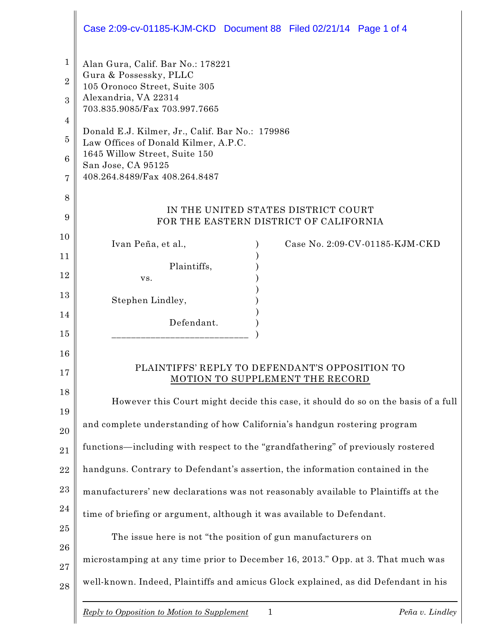|                                | Case 2:09-cv-01185-KJM-CKD Document 88 Filed 02/21/14 Page 1 of 4                                                                                     |  |  |
|--------------------------------|-------------------------------------------------------------------------------------------------------------------------------------------------------|--|--|
| $\mathbf{1}$<br>$\overline{2}$ | Alan Gura, Calif. Bar No.: 178221<br>Gura & Possessky, PLLC<br>105 Oronoco Street, Suite 305<br>Alexandria, VA 22314<br>703.835.9085/Fax 703.997.7665 |  |  |
| 3                              |                                                                                                                                                       |  |  |
| 4                              | Donald E.J. Kilmer, Jr., Calif. Bar No.: 179986                                                                                                       |  |  |
| $\overline{5}$<br>6            | Law Offices of Donald Kilmer, A.P.C.<br>1645 Willow Street, Suite 150                                                                                 |  |  |
| 7                              | San Jose, CA 95125<br>408.264.8489/Fax 408.264.8487                                                                                                   |  |  |
| 8                              |                                                                                                                                                       |  |  |
| 9                              | IN THE UNITED STATES DISTRICT COURT<br>FOR THE EASTERN DISTRICT OF CALIFORNIA                                                                         |  |  |
| 10                             | Ivan Peña, et al.,<br>Case No. 2:09-CV-01185-KJM-CKD                                                                                                  |  |  |
| 11                             | Plaintiffs,                                                                                                                                           |  |  |
| 12                             | VS.                                                                                                                                                   |  |  |
| 13                             | Stephen Lindley,                                                                                                                                      |  |  |
| 14                             | Defendant.                                                                                                                                            |  |  |
| 15                             |                                                                                                                                                       |  |  |
| 16<br>17                       | PLAINTIFFS' REPLY TO DEFENDANT'S OPPOSITION TO<br>MOTION TO SUPPLEMENT THE RECORD                                                                     |  |  |
| 18                             | However this Court might decide this case, it should do so on the basis of a full                                                                     |  |  |
| 19<br>20                       | and complete understanding of how California's handgun rostering program                                                                              |  |  |
| 21                             | functions—including with respect to the "grandfathering" of previously rostered                                                                       |  |  |
| 22                             | handguns. Contrary to Defendant's assertion, the information contained in the                                                                         |  |  |
| 23                             | manufacturers' new declarations was not reasonably available to Plaintiffs at the                                                                     |  |  |
| 24                             | time of briefing or argument, although it was available to Defendant.                                                                                 |  |  |
| 25                             | The issue here is not "the position of gun manufacturers on                                                                                           |  |  |
| 26                             | microstamping at any time prior to December 16, 2013." Opp. at 3. That much was                                                                       |  |  |
| 27<br>28                       | well-known. Indeed, Plaintiffs and amicus Glock explained, as did Defendant in his                                                                    |  |  |
|                                | $\mathbf{1}$<br>Peña v. Lindley<br>Reply to Opposition to Motion to Supplement                                                                        |  |  |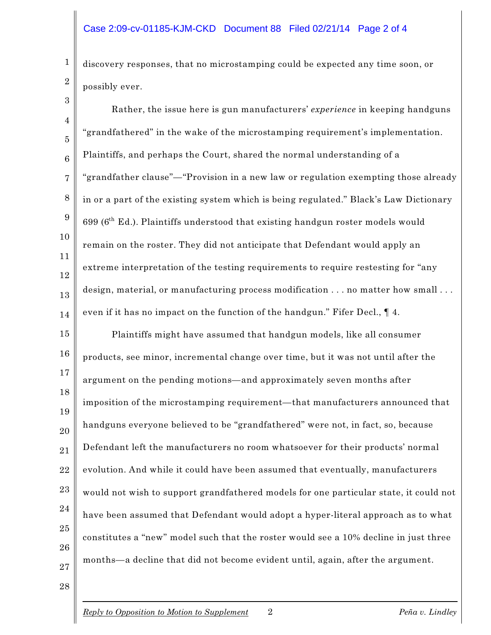discovery responses, that no microstamping could be expected any time soon, or possibly ever.

4 5 6 7 8 9 10 11 12 13 14 15 16 17 18 19 20 21 22 23 24 25 26 Rather, the issue here is gun manufacturers' *experience* in keeping handguns "grandfathered" in the wake of the microstamping requirement's implementation. Plaintiffs, and perhaps the Court, shared the normal understanding of a "grandfather clause"—"Provision in a new law or regulation exempting those already in or a part of the existing system which is being regulated." Black's Law Dictionary 699 ( $6<sup>th</sup>$  Ed.). Plaintiffs understood that existing handgun roster models would remain on the roster. They did not anticipate that Defendant would apply an extreme interpretation of the testing requirements to require restesting for "any design, material, or manufacturing process modification . . . no matter how small . . . even if it has no impact on the function of the handgun." Fifer Decl., ¶ 4. Plaintiffs might have assumed that handgun models, like all consumer products, see minor, incremental change over time, but it was not until after the argument on the pending motions—and approximately seven months after imposition of the microstamping requirement—that manufacturers announced that handguns everyone believed to be "grandfathered" were not, in fact, so, because Defendant left the manufacturers no room whatsoever for their products' normal evolution. And while it could have been assumed that eventually, manufacturers would not wish to support grandfathered models for one particular state, it could not have been assumed that Defendant would adopt a hyper-literal approach as to what constitutes a "new" model such that the roster would see a 10% decline in just three

months—a decline that did not become evident until, again, after the argument.

2 3

1

27 28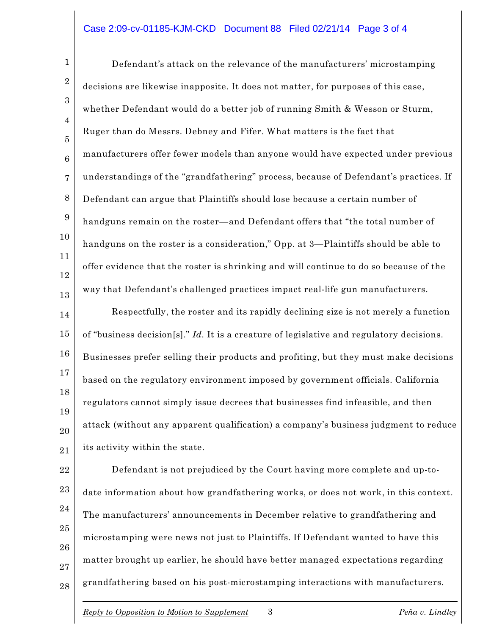## Case 2:09-cv-01185-KJM-CKD Document 88 Filed 02/21/14 Page 3 of 4

Defendant's attack on the relevance of the manufacturers' microstamping decisions are likewise inapposite. It does not matter, for purposes of this case, whether Defendant would do a better job of running Smith & Wesson or Sturm, Ruger than do Messrs. Debney and Fifer. What matters is the fact that manufacturers offer fewer models than anyone would have expected under previous understandings of the "grandfathering" process, because of Defendant's practices. If Defendant can argue that Plaintiffs should lose because a certain number of handguns remain on the roster—and Defendant offers that "the total number of handguns on the roster is a consideration," Opp. at 3—Plaintiffs should be able to offer evidence that the roster is shrinking and will continue to do so because of the way that Defendant's challenged practices impact real-life gun manufacturers. Respectfully, the roster and its rapidly declining size is not merely a function of "business decision[s]." *Id.* It is a creature of legislative and regulatory decisions.

19 20 21 Businesses prefer selling their products and profiting, but they must make decisions based on the regulatory environment imposed by government officials. California regulators cannot simply issue decrees that businesses find infeasible, and then attack (without any apparent qualification) a company's business judgment to reduce its activity within the state.

22 23 24 25 26 27 28 Defendant is not prejudiced by the Court having more complete and up-todate information about how grandfathering works, or does not work, in this context. The manufacturers' announcements in December relative to grandfathering and microstamping were news not just to Plaintiffs. If Defendant wanted to have this matter brought up earlier, he should have better managed expectations regarding grandfathering based on his post-microstamping interactions with manufacturers.